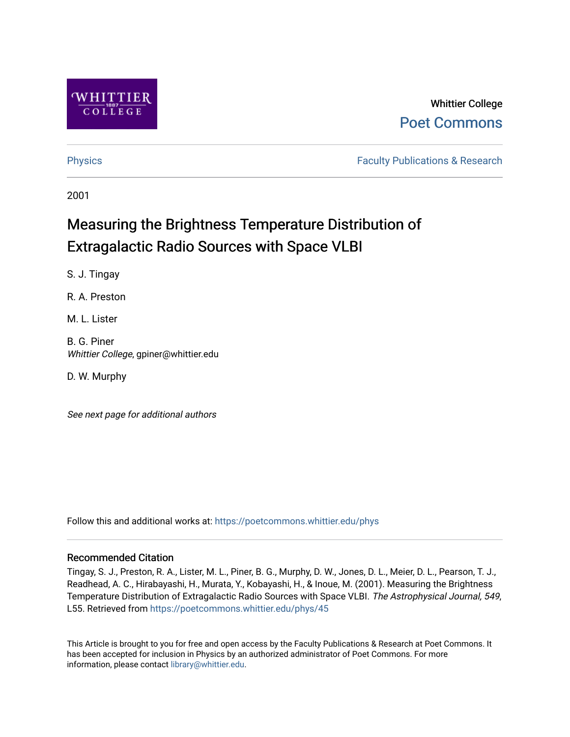

# Whittier College [Poet Commons](https://poetcommons.whittier.edu/)

[Physics](https://poetcommons.whittier.edu/phys) **Faculty Publications & Research Physics Faculty Publications & Research** 

2001

# Measuring the Brightness Temperature Distribution of Extragalactic Radio Sources with Space VLBI

S. J. Tingay

R. A. Preston

M. L. Lister

B. G. Piner Whittier College, gpiner@whittier.edu

D. W. Murphy

See next page for additional authors

Follow this and additional works at: [https://poetcommons.whittier.edu/phys](https://poetcommons.whittier.edu/phys?utm_source=poetcommons.whittier.edu%2Fphys%2F45&utm_medium=PDF&utm_campaign=PDFCoverPages)

### Recommended Citation

Tingay, S. J., Preston, R. A., Lister, M. L., Piner, B. G., Murphy, D. W., Jones, D. L., Meier, D. L., Pearson, T. J., Readhead, A. C., Hirabayashi, H., Murata, Y., Kobayashi, H., & Inoue, M. (2001). Measuring the Brightness Temperature Distribution of Extragalactic Radio Sources with Space VLBI. The Astrophysical Journal, 549, L55. Retrieved from [https://poetcommons.whittier.edu/phys/45](https://poetcommons.whittier.edu/phys/45?utm_source=poetcommons.whittier.edu%2Fphys%2F45&utm_medium=PDF&utm_campaign=PDFCoverPages)

This Article is brought to you for free and open access by the Faculty Publications & Research at Poet Commons. It has been accepted for inclusion in Physics by an authorized administrator of Poet Commons. For more information, please contact [library@whittier.edu.](mailto:library@whittier.edu)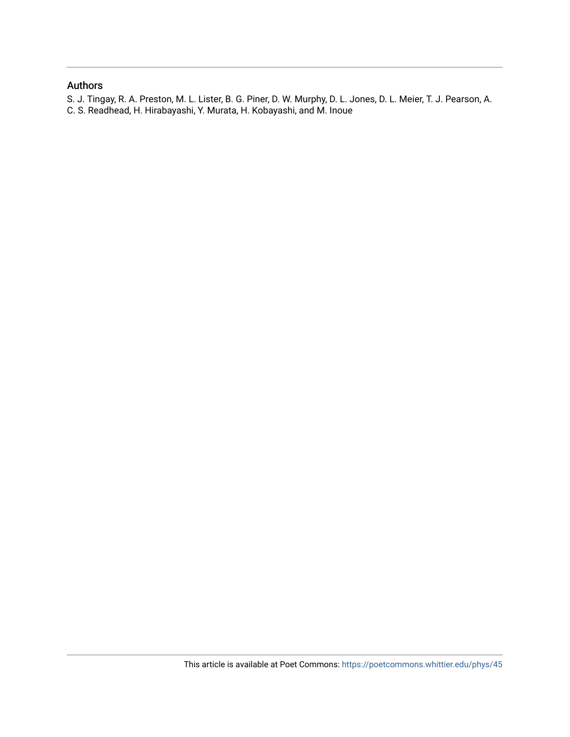## Authors

S. J. Tingay, R. A. Preston, M. L. Lister, B. G. Piner, D. W. Murphy, D. L. Jones, D. L. Meier, T. J. Pearson, A.

C. S. Readhead, H. Hirabayashi, Y. Murata, H. Kobayashi, and M. Inoue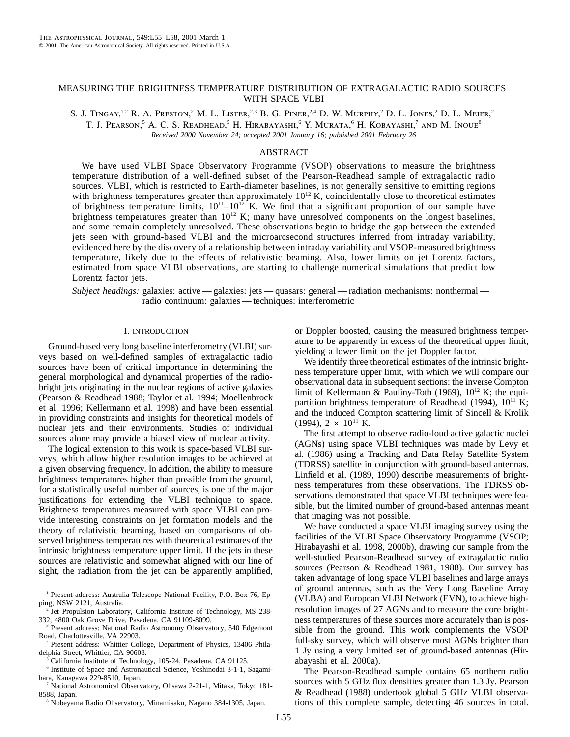#### MEASURING THE BRIGHTNESS TEMPERATURE DISTRIBUTION OF EXTRAGALACTIC RADIO SOURCES WITH SPACE VLBI

S. J. Tingay,<sup>1,2</sup> R. A. Preston,<sup>2</sup> M. L. Lister,<sup>2,3</sup> B. G. Piner,<sup>2,4</sup> D. W. Murphy,<sup>2</sup> D. L. Jones,<sup>2</sup> D. L. Meier,<sup>2</sup> T. J. Pearson,<sup>5</sup> A. C. S. Readhead,<sup>5</sup> H. Hirabayashi,<sup>6</sup> Y. Murata,<sup>6</sup> H. Kobayashi,<sup>7</sup> and M. Inoue<sup>8</sup> *Received 2000 November 24; accepted 2001 January 16; published 2001 February 26*

#### ABSTRACT

We have used VLBI Space Observatory Programme (VSOP) observations to measure the brightness temperature distribution of a well-defined subset of the Pearson-Readhead sample of extragalactic radio sources. VLBI, which is restricted to Earth-diameter baselines, is not generally sensitive to emitting regions with brightness temperatures greater than approximately  $10^{12}$  K, coincidentally close to theoretical estimates of brightness temperature limits,  $10^{11}-10^{12}$  K. We find that a significant proportion of our sample have brightness temperatures greater than  $10^{12}$  K; many have unresolved components on the longest baselines, and some remain completely unresolved. These observations begin to bridge the gap between the extended jets seen with ground-based VLBI and the microarcsecond structures inferred from intraday variability, evidenced here by the discovery of a relationship between intraday variability and VSOP-measured brightness temperature, likely due to the effects of relativistic beaming. Also, lower limits on jet Lorentz factors, estimated from space VLBI observations, are starting to challenge numerical simulations that predict low Lorentz factor jets.

*Subject headings:* galaxies: active — galaxies: jets — quasars: general — radiation mechanisms: nonthermal radio continuum: galaxies — techniques: interferometric

#### 1. INTRODUCTION

Ground-based very long baseline interferometry (VLBI) surveys based on well-defined samples of extragalactic radio sources have been of critical importance in determining the general morphological and dynamical properties of the radiobright jets originating in the nuclear regions of active galaxies (Pearson & Readhead 1988; Taylor et al. 1994; Moellenbrock et al. 1996; Kellermann et al. 1998) and have been essential in providing constraints and insights for theoretical models of nuclear jets and their environments. Studies of individual sources alone may provide a biased view of nuclear activity.

The logical extension to this work is space-based VLBI surveys, which allow higher resolution images to be achieved at a given observing frequency. In addition, the ability to measure brightness temperatures higher than possible from the ground, for a statistically useful number of sources, is one of the major justifications for extending the VLBI technique to space. Brightness temperatures measured with space VLBI can provide interesting constraints on jet formation models and the theory of relativistic beaming, based on comparisons of observed brightness temperatures with theoretical estimates of the intrinsic brightness temperature upper limit. If the jets in these sources are relativistic and somewhat aligned with our line of sight, the radiation from the jet can be apparently amplified,

<sup>1</sup> Present address: Australia Telescope National Facility, P.O. Box 76, Epping, NSW 2121, Australia.

<sup>2</sup> Jet Propulsion Laboratory, California Institute of Technology, MS 238-332, 4800 Oak Grove Drive, Pasadena, CA 91109-8099.

<sup>3</sup> Present address: National Radio Astronomy Observatory, 540 Edgemont Road, Charlottesville, VA 22903.

<sup>4</sup> Present address: Whittier College, Department of Physics, 13406 Philadelphia Street, Whittier, CA 90608.

 $5$  California Institute of Technology, 105-24, Pasadena, CA 91125.

<sup>6</sup> Institute of Space and Astronautical Science, Yoshinodai 3-1-1, Sagamihara, Kanagawa 229-8510, Japan.

<sup>7</sup> National Astronomical Observatory, Ohsawa 2-21-1, Mitaka, Tokyo 181- 8588, Japan.

<sup>8</sup> Nobeyama Radio Observatory, Minamisaku, Nagano 384-1305, Japan.

or Doppler boosted, causing the measured brightness temperature to be apparently in excess of the theoretical upper limit, yielding a lower limit on the jet Doppler factor.

We identify three theoretical estimates of the intrinsic brightness temperature upper limit, with which we will compare our observational data in subsequent sections: the inverse Compton limit of Kellermann & Pauliny-Toth (1969),  $10^{12}$  K; the equipartition brightness temperature of Readhead (1994),  $10^{11}$  K; and the induced Compton scattering limit of Sincell & Krolik  $(1994)$ , 2 ×  $10^{11}$  K.

The first attempt to observe radio-loud active galactic nuclei (AGNs) using space VLBI techniques was made by Levy et al. (1986) using a Tracking and Data Relay Satellite System (TDRSS) satellite in conjunction with ground-based antennas. Linfield et al. (1989, 1990) describe measurements of brightness temperatures from these observations. The TDRSS observations demonstrated that space VLBI techniques were feasible, but the limited number of ground-based antennas meant that imaging was not possible.

We have conducted a space VLBI imaging survey using the facilities of the VLBI Space Observatory Programme (VSOP; Hirabayashi et al. 1998, 2000b), drawing our sample from the well-studied Pearson-Readhead survey of extragalactic radio sources (Pearson & Readhead 1981, 1988). Our survey has taken advantage of long space VLBI baselines and large arrays of ground antennas, such as the Very Long Baseline Array (VLBA) and European VLBI Network (EVN), to achieve highresolution images of 27 AGNs and to measure the core brightness temperatures of these sources more accurately than is possible from the ground. This work complements the VSOP full-sky survey, which will observe most AGNs brighter than 1 Jy using a very limited set of ground-based antennas (Hirabayashi et al. 2000a).

The Pearson-Readhead sample contains 65 northern radio sources with 5 GHz flux densities greater than 1.3 Jy. Pearson & Readhead (1988) undertook global 5 GHz VLBI observations of this complete sample, detecting 46 sources in total.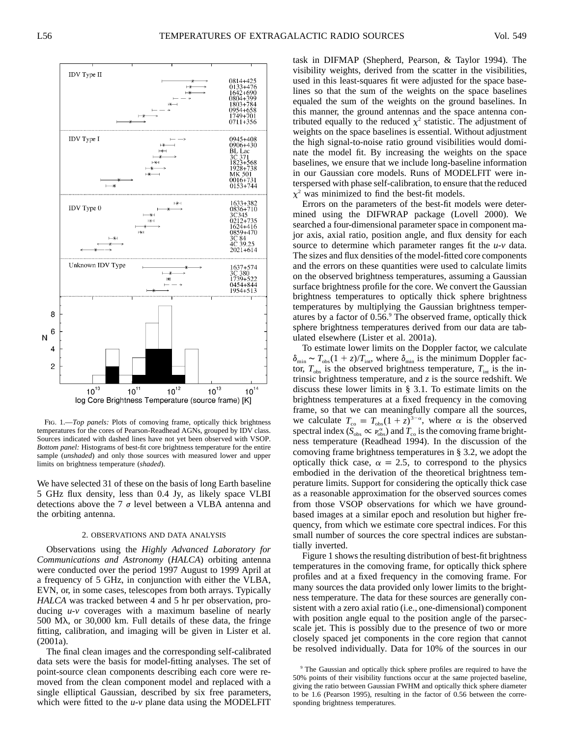

FIG. 1.—*Top panels:* Plots of comoving frame, optically thick brightness temperatures for the cores of Pearson-Readhead AGNs, grouped by IDV class. Sources indicated with dashed lines have not yet been observed with VSOP. *Bottom panel:* Histograms of best-fit core brightness temperature for the entire sample (*unshaded*) and only those sources with measured lower and upper limits on brightness temperature (*shaded*).

We have selected 31 of these on the basis of long Earth baseline 5 GHz flux density, less than 0.4 Jy, as likely space VLBI detections above the 7  $\sigma$  level between a VLBA antenna and the orbiting antenna.

#### 2. OBSERVATIONS AND DATA ANALYSIS

Observations using the *Highly Advanced Laboratory for Communications and Astronomy* (*HALCA*) orbiting antenna were conducted over the period 1997 August to 1999 April at a frequency of 5 GHz, in conjunction with either the VLBA, EVN, or, in some cases, telescopes from both arrays. Typically *HALCA* was tracked between 4 and 5 hr per observation, producing *u*-*v* coverages with a maximum baseline of nearly  $500$  M $\lambda$ , or  $30,000$  km. Full details of these data, the fringe fitting, calibration, and imaging will be given in Lister et al. (2001a).

The final clean images and the corresponding self-calibrated data sets were the basis for model-fitting analyses. The set of point-source clean components describing each core were removed from the clean component model and replaced with a single elliptical Gaussian, described by six free parameters, which were fitted to the *u*-*v* plane data using the MODELFIT

task in DIFMAP (Shepherd, Pearson, & Taylor 1994). The visibility weights, derived from the scatter in the visibilities, used in this least-squares fit were adjusted for the space baselines so that the sum of the weights on the space baselines equaled the sum of the weights on the ground baselines. In this manner, the ground antennas and the space antenna contributed equally to the reduced  $\chi^2$  statistic. The adjustment of weights on the space baselines is essential. Without adjustment the high signal-to-noise ratio ground visibilities would dominate the model fit. By increasing the weights on the space baselines, we ensure that we include long-baseline information in our Gaussian core models. Runs of MODELFIT were interspersed with phase self-calibration, to ensure that the reduced  $\chi^2$  was minimized to find the best-fit models.

Errors on the parameters of the best-fit models were determined using the DIFWRAP package (Lovell 2000). We searched a four-dimensional parameter space in component major axis, axial ratio, position angle, and flux density for each source to determine which parameter ranges fit the *u*-*v* data. The sizes and flux densities of the model-fitted core components and the errors on these quantities were used to calculate limits on the observed brightness temperatures, assuming a Gaussian surface brightness profile for the core. We convert the Gaussian brightness temperatures to optically thick sphere brightness temperatures by multiplying the Gaussian brightness temperatures by a factor of 0.56.<sup>9</sup> The observed frame, optically thick sphere brightness temperatures derived from our data are tabulated elsewhere (Lister et al. 2001a).

To estimate lower limits on the Doppler factor, we calculate  $\delta_{\min}$  ~  $T_{\text{obs}}$ (1 + *z*)/ $T_{\text{int}}$ , where  $\delta_{\min}$  is the minimum Doppler factor,  $T_{obs}$  is the observed brightness temperature,  $T_{int}$  is the intrinsic brightness temperature, and *z* is the source redshift. We discuss these lower limits in § 3.1. To estimate limits on the brightness temperatures at a fixed frequency in the comoving frame, so that we can meaningfully compare all the sources, we calculate  $T_{\text{co}} = T_{\text{obs}}(1 + z)^{3-\alpha}$ , where  $\alpha$  is the observed spectral index ( $S_{obs} \propto \nu_{obs}^{\alpha}$ ) and  $T_{\rm co}$  is the comoving frame brightness temperature (Readhead 1994). In the discussion of the comoving frame brightness temperatures in § 3.2, we adopt the optically thick case,  $\alpha = 2.5$ , to correspond to the physics embodied in the derivation of the theoretical brightness temperature limits. Support for considering the optically thick case as a reasonable approximation for the observed sources comes from those VSOP observations for which we have groundbased images at a similar epoch and resolution but higher frequency, from which we estimate core spectral indices. For this small number of sources the core spectral indices are substantially inverted.

Figure 1 shows the resulting distribution of best-fit brightness temperatures in the comoving frame, for optically thick sphere profiles and at a fixed frequency in the comoving frame. For many sources the data provided only lower limits to the brightness temperature. The data for these sources are generally consistent with a zero axial ratio (i.e., one-dimensional) component with position angle equal to the position angle of the parsecscale jet. This is possibly due to the presence of two or more closely spaced jet components in the core region that cannot be resolved individually. Data for 10% of the sources in our

<sup>9</sup> The Gaussian and optically thick sphere profiles are required to have the 50% points of their visibility functions occur at the same projected baseline, giving the ratio between Gaussian FWHM and optically thick sphere diameter to be 1.6 (Pearson 1995), resulting in the factor of 0.56 between the corresponding brightness temperatures.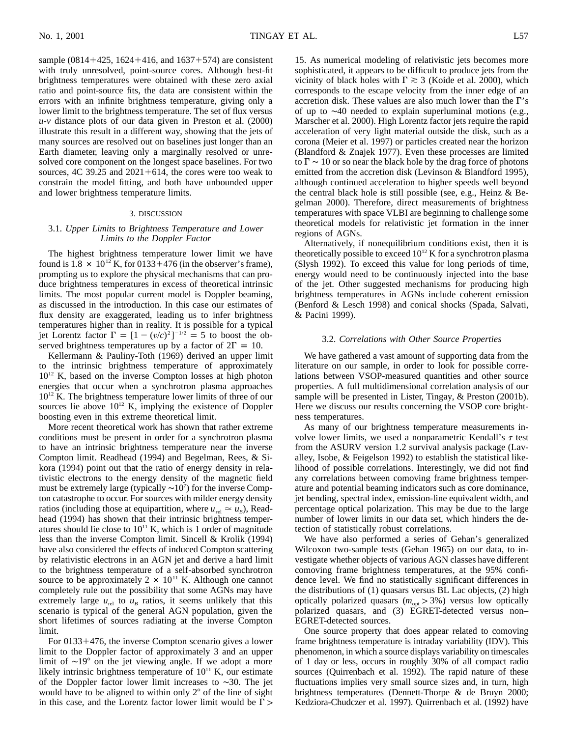sample  $(0814+425, 1624+416,$  and  $1637+574$ ) are consistent with truly unresolved, point-source cores. Although best-fit brightness temperatures were obtained with these zero axial ratio and point-source fits, the data are consistent within the errors with an infinite brightness temperature, giving only a lower limit to the brightness temperature. The set of flux versus *u*-*v* distance plots of our data given in Preston et al. (2000) illustrate this result in a different way, showing that the jets of many sources are resolved out on baselines just longer than an Earth diameter, leaving only a marginally resolved or unresolved core component on the longest space baselines. For two sources,  $4C$  39.25 and  $2021+614$ , the cores were too weak to constrain the model fitting, and both have unbounded upper and lower brightness temperature limits.

### 3. DISCUSSION

### 3.1. *Upper Limits to Brightness Temperature and Lower Limits to the Doppler Factor*

The highest brightness temperature lower limit we have found is  $1.8 \times 10^{12}$  K, for 0133+476 (in the observer's frame), prompting us to explore the physical mechanisms that can produce brightness temperatures in excess of theoretical intrinsic limits. The most popular current model is Doppler beaming, as discussed in the introduction. In this case our estimates of flux density are exaggerated, leading us to infer brightness temperatures higher than in reality. It is possible for a typical jet Lorentz factor  $\Gamma = [1 - (v/c)^2]^{-1/2} = 5$  to boost the observed brightness temperatures up by a factor of  $2\Gamma = 10$ .

Kellermann & Pauliny-Toth (1969) derived an upper limit to the intrinsic brightness temperature of approximately  $10^{12}$  K, based on the inverse Compton losses at high photon energies that occur when a synchrotron plasma approaches  $10^{12}$  K. The brightness temperature lower limits of three of our sources lie above  $10^{12}$  K, implying the existence of Doppler boosting even in this extreme theoretical limit.

More recent theoretical work has shown that rather extreme conditions must be present in order for a synchrotron plasma to have an intrinsic brightness temperature near the inverse Compton limit. Readhead (1994) and Begelman, Rees, & Sikora (1994) point out that the ratio of energy density in relativistic electrons to the energy density of the magnetic field must be extremely large (typically  $\sim 10^7$ ) for the inverse Compton catastrophe to occur. For sources with milder energy density ratios (including those at equipartition, where  $u_{rel} \approx u_B$ ), Readhead (1994) has shown that their intrinsic brightness temperatures should lie close to  $10^{11}$  K, which is 1 order of magnitude less than the inverse Compton limit. Sincell & Krolik (1994) have also considered the effects of induced Compton scattering by relativistic electrons in an AGN jet and derive a hard limit to the brightness temperature of a self-absorbed synchrotron source to be approximately  $2 \times 10^{11}$  K. Although one cannot completely rule out the possibility that some AGNs may have extremely large  $u_{rel}$  to  $u_B$  ratios, it seems unlikely that this scenario is typical of the general AGN population, given the short lifetimes of sources radiating at the inverse Compton limit.

For  $0133+476$ , the inverse Compton scenario gives a lower limit to the Doppler factor of approximately 3 and an upper limit of ∼197 on the jet viewing angle. If we adopt a more likely intrinsic brightness temperature of  $10^{11}$  K, our estimate of the Doppler factor lower limit increases to ∼30. The jet would have to be aligned to within only  $2^{\circ}$  of the line of sight in this case, and the Lorentz factor lower limit would be  $\Gamma$  >

15. As numerical modeling of relativistic jets becomes more sophisticated, it appears to be difficult to produce jets from the vicinity of black holes with  $\Gamma \ge 3$  (Koide et al. 2000), which corresponds to the escape velocity from the inner edge of an accretion disk. These values are also much lower than the  $\Gamma$ 's of up to ∼40 needed to explain superluminal motions (e.g., Marscher et al. 2000). High Lorentz factor jets require the rapid acceleration of very light material outside the disk, such as a corona (Meier et al. 1997) or particles created near the horizon (Blandford & Znajek 1977). Even these processes are limited to  $\Gamma \sim 10$  or so near the black hole by the drag force of photons emitted from the accretion disk (Levinson & Blandford 1995), although continued acceleration to higher speeds well beyond the central black hole is still possible (see, e.g., Heinz & Begelman 2000). Therefore, direct measurements of brightness temperatures with space VLBI are beginning to challenge some theoretical models for relativistic jet formation in the inner regions of AGNs.

Alternatively, if nonequilibrium conditions exist, then it is theoretically possible to exceed  $10^{12}$  K for a synchrotron plasma (Slysh 1992). To exceed this value for long periods of time, energy would need to be continuously injected into the base of the jet. Other suggested mechanisms for producing high brightness temperatures in AGNs include coherent emission (Benford & Lesch 1998) and conical shocks (Spada, Salvati, & Pacini 1999).

#### 3.2. *Correlations with Other Source Properties*

We have gathered a vast amount of supporting data from the literature on our sample, in order to look for possible correlations between VSOP-measured quantities and other source properties. A full multidimensional correlation analysis of our sample will be presented in Lister, Tingay, & Preston (2001b). Here we discuss our results concerning the VSOP core brightness temperatures.

As many of our brightness temperature measurements involve lower limits, we used a nonparametric Kendall's  $\tau$  test from the ASURV version 1.2 survival analysis package (Lavalley, Isobe, & Feigelson 1992) to establish the statistical likelihood of possible correlations. Interestingly, we did not find any correlations between comoving frame brightness temperature and potential beaming indicators such as core dominance, jet bending, spectral index, emission-line equivalent width, and percentage optical polarization. This may be due to the large number of lower limits in our data set, which hinders the detection of statistically robust correlations.

We have also performed a series of Gehan's generalized Wilcoxon two-sample tests (Gehan 1965) on our data, to investigate whether objects of various AGN classes have different comoving frame brightness temperatures, at the 95% confidence level. We find no statistically significant differences in the distributions of (1) quasars versus BL Lac objects, (2) high optically polarized quasars  $(m_{\text{opt}} > 3\%)$  versus low optically polarized quasars, and (3) EGRET-detected versus non– EGRET-detected sources.

One source property that does appear related to comoving frame brightness temperature is intraday variability (IDV). This phenomenon, in which a source displays variability on timescales of 1 day or less, occurs in roughly 30% of all compact radio sources (Quirrenbach et al. 1992). The rapid nature of these fluctuations implies very small source sizes and, in turn, high brightness temperatures (Dennett-Thorpe & de Bruyn 2000; Kedziora-Chudczer et al. 1997). Quirrenbach et al. (1992) have